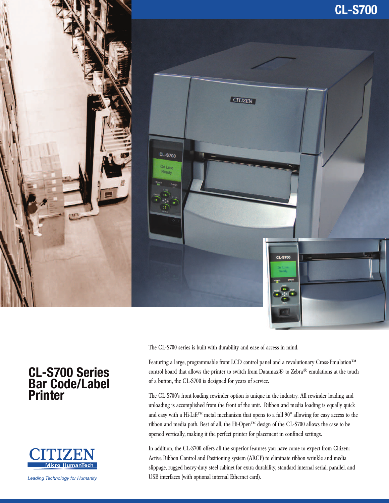





The CL-S700 series is built with durability and ease of access in mind.

Featuring a large, programmable front LCD control panel and a revolutionary Cross-Emulation™ control board that allows the printer to switch from Datamax® to Zebra® emulations at the touch of a button, the CL-S700 is designed for years of service.

The CL-S700's front-loading rewinder option is unique in the industry. All rewinder loading and unloading is accomplished from the front of the unit. Ribbon and media loading is equally quick and easy with a Hi-Lift™ metal mechanism that opens to a full 90° allowing for easy access to the ribbon and media path. Best of all, the Hi-Open™ design of the CL-S700 allows the case to be opened vertically, making it the perfect printer for placement in confined settings.

In addition, the CL-S700 offers all the superior features you have come to expect from Citizen: Active Ribbon Control and Positioning system (ARCP) to eliminate ribbon wrinkle and media slippage, rugged heavy-duty steel cabinet for extra durability, standard internal serial, parallel, and USB interfaces (with optional internal Ethernet card).

# **CL-S700 Series Bar Code/Label Printer**



**Leading Technology for Humanity**